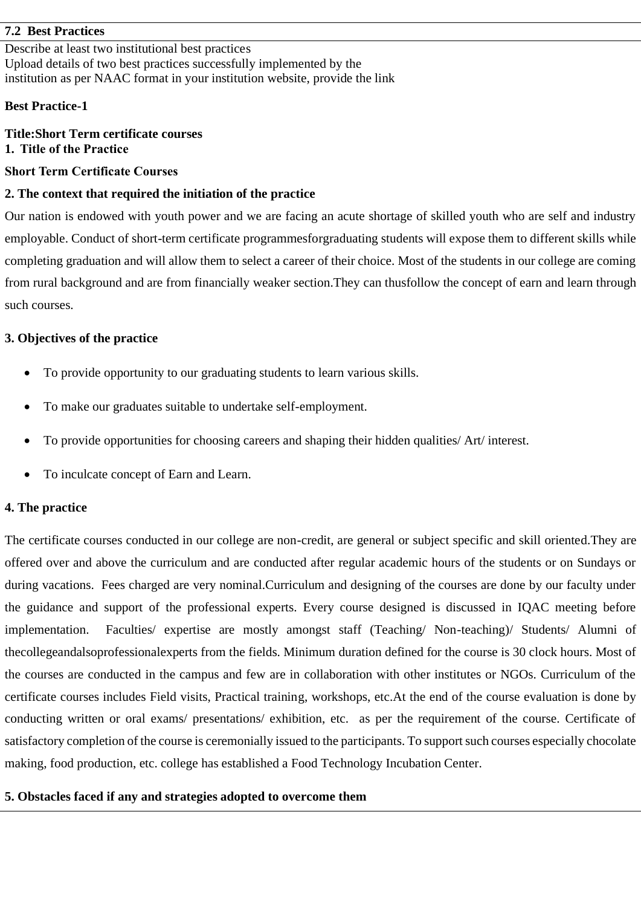### **7.2 Best Practices**

Describe at least two institutional best practices Upload details of two best practices successfully implemented by the institution as per NAAC format in your institution website, provide the link

### **Best Practice-1**

# **Title:Short Term certificate courses 1. Title of the Practice**

### **Short Term Certificate Courses**

### **2. The context that required the initiation of the practice**

Our nation is endowed with youth power and we are facing an acute shortage of skilled youth who are self and industry employable. Conduct of short-term certificate programmesforgraduating students will expose them to different skills while completing graduation and will allow them to select a career of their choice. Most of the students in our college are coming from rural background and are from financially weaker section.They can thusfollow the concept of earn and learn through such courses.

#### **3. Objectives of the practice**

- To provide opportunity to our graduating students to learn various skills.
- To make our graduates suitable to undertake self-employment.
- To provide opportunities for choosing careers and shaping their hidden qualities/ Art/ interest.
- To inculcate concept of Earn and Learn.

## **4. The practice**

The certificate courses conducted in our college are non-credit, are general or subject specific and skill oriented.They are offered over and above the curriculum and are conducted after regular academic hours of the students or on Sundays or during vacations. Fees charged are very nominal.Curriculum and designing of the courses are done by our faculty under the guidance and support of the professional experts. Every course designed is discussed in IQAC meeting before implementation. Faculties/ expertise are mostly amongst staff (Teaching/ Non-teaching)/ Students/ Alumni of thecollegeandalsoprofessionalexperts from the fields. Minimum duration defined for the course is 30 clock hours. Most of the courses are conducted in the campus and few are in collaboration with other institutes or NGOs. Curriculum of the certificate courses includes Field visits, Practical training, workshops, etc.At the end of the course evaluation is done by conducting written or oral exams/ presentations/ exhibition, etc. as per the requirement of the course. Certificate of satisfactory completion of the course is ceremonially issued to the participants. To support such courses especially chocolate making, food production, etc. college has established a Food Technology Incubation Center.

#### **5. Obstacles faced if any and strategies adopted to overcome them**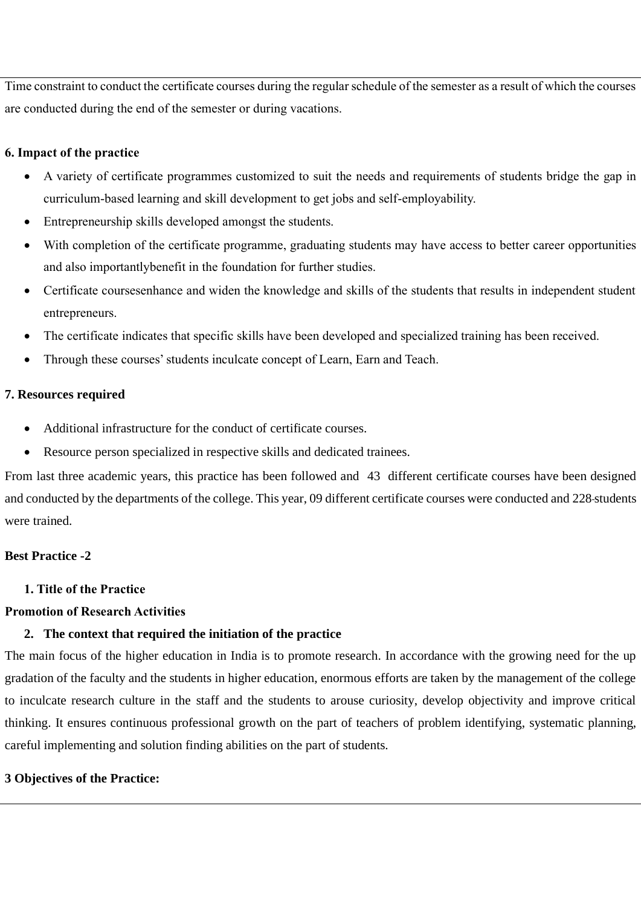Time constraint to conduct the certificate courses during the regular schedule of the semester as a result of which the courses are conducted during the end of the semester or during vacations.

# **6. Impact of the practice**

- A variety of certificate programmes customized to suit the needs and requirements of students bridge the gap in curriculum-based learning and skill development to get jobs and self-employability.
- Entrepreneurship skills developed amongst the students.
- With completion of the certificate programme, graduating students may have access to better career opportunities and also importantlybenefit in the foundation for further studies.
- Certificate coursesenhance and widen the knowledge and skills of the students that results in independent student entrepreneurs.
- The certificate indicates that specific skills have been developed and specialized training has been received.
- Through these courses' students inculcate concept of Learn, Earn and Teach.

# **7. Resources required**

- Additional infrastructure for the conduct of certificate courses.
- Resource person specialized in respective skills and dedicated trainees.

From last three academic years, this practice has been followed and 43 different certificate courses have been designed and conducted by the departments of the college. This year, 09 different certificate courses were conducted and 228 students were trained.

# **Best Practice -2**

**1. Title of the Practice**

# **Promotion of Research Activities**

# **2. The context that required the initiation of the practice**

The main focus of the higher education in India is to promote research. In accordance with the growing need for the up gradation of the faculty and the students in higher education, enormous efforts are taken by the management of the college to inculcate research culture in the staff and the students to arouse curiosity, develop objectivity and improve critical thinking. It ensures continuous professional growth on the part of teachers of problem identifying, systematic planning, careful implementing and solution finding abilities on the part of students.

# **3 Objectives of the Practice:**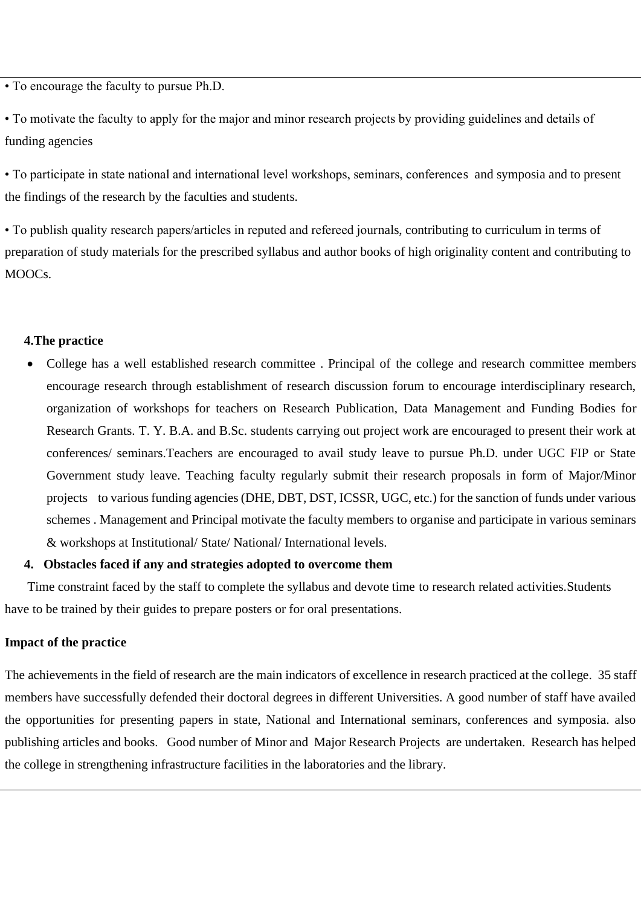• To encourage the faculty to pursue Ph.D.

• To motivate the faculty to apply for the major and minor research projects by providing guidelines and details of funding agencies

• To participate in state national and international level workshops, seminars, conferences and symposia and to present the findings of the research by the faculties and students.

• To publish quality research papers/articles in reputed and refereed journals, contributing to curriculum in terms of preparation of study materials for the prescribed syllabus and author books of high originality content and contributing to MOOCs.

#### **4.The practice**

• College has a well established research committee . Principal of the college and research committee members encourage research through establishment of research discussion forum to encourage interdisciplinary research, organization of workshops for teachers on Research Publication, Data Management and Funding Bodies for Research Grants. T. Y. B.A. and B.Sc. students carrying out project work are encouraged to present their work at conferences/ seminars.Teachers are encouraged to avail study leave to pursue Ph.D. under UGC FIP or State Government study leave. Teaching faculty regularly submit their research proposals in form of Major/Minor projects to various funding agencies (DHE, DBT, DST, ICSSR, UGC, etc.) for the sanction of funds under various schemes . Management and Principal motivate the faculty members to organise and participate in various seminars & workshops at Institutional/ State/ National/ International levels.

#### **4. Obstacles faced if any and strategies adopted to overcome them**

 Time constraint faced by the staff to complete the syllabus and devote time to research related activities.Students have to be trained by their guides to prepare posters or for oral presentations.

#### **Impact of the practice**

The achievements in the field of research are the main indicators of excellence in research practiced at the college. 35 staff members have successfully defended their doctoral degrees in different Universities. A good number of staff have availed the opportunities for presenting papers in state, National and International seminars, conferences and symposia. also publishing articles and books. Good number of Minor and Major Research Projects are undertaken. Research has helped the college in strengthening infrastructure facilities in the laboratories and the library.